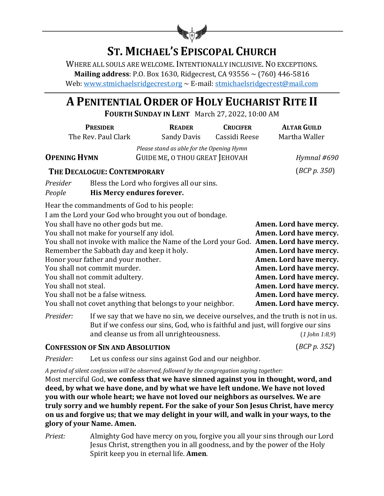

# **ST. MICHAEL'S EPISCOPAL CHURCH**

WHERE ALL SOULS ARE WELCOME. INTENTIONALLY INCLUSIVE. NO EXCEPTIONS. **Mailing address**: P.O. Box 1630, Ridgecrest, CA 93556  $\sim$  (760) 446-5816 Web: www.stmichaelsridgecrest.org  $\sim$  E-mail: stmichaelsridgecrest@mail.com

# **A PENITENTIAL ORDER OF HOLY EUCHARIST RITE II**

**FOURTH SUNDAY IN LENT** March 27, 2022, 10:00 AM

|                                                                                                                                                                                                                                                                     | <b>PRESIDER</b>             | <b>READER</b>                                                                                                                                                                                                                                                                                          | <b>CRUCIFER</b> | <b>ALTAR GUILD</b>                                                                                                                                                                                                                                                                                                                                                                                                   |
|---------------------------------------------------------------------------------------------------------------------------------------------------------------------------------------------------------------------------------------------------------------------|-----------------------------|--------------------------------------------------------------------------------------------------------------------------------------------------------------------------------------------------------------------------------------------------------------------------------------------------------|-----------------|----------------------------------------------------------------------------------------------------------------------------------------------------------------------------------------------------------------------------------------------------------------------------------------------------------------------------------------------------------------------------------------------------------------------|
|                                                                                                                                                                                                                                                                     | The Rev. Paul Clark         | <b>Sandy Davis</b>                                                                                                                                                                                                                                                                                     | Cassidi Reese   | Martha Waller                                                                                                                                                                                                                                                                                                                                                                                                        |
|                                                                                                                                                                                                                                                                     |                             | Please stand as able for the Opening Hymn                                                                                                                                                                                                                                                              |                 |                                                                                                                                                                                                                                                                                                                                                                                                                      |
| <b>OPENING HYMN</b>                                                                                                                                                                                                                                                 |                             | GUIDE ME, O THOU GREAT JEHOVAH                                                                                                                                                                                                                                                                         |                 | Hymnal #690                                                                                                                                                                                                                                                                                                                                                                                                          |
|                                                                                                                                                                                                                                                                     | THE DECALOGUE: CONTEMPORARY |                                                                                                                                                                                                                                                                                                        |                 | (BCP p. 350)                                                                                                                                                                                                                                                                                                                                                                                                         |
| Presider<br>People                                                                                                                                                                                                                                                  |                             | Bless the Lord who forgives all our sins.<br><b>His Mercy endures forever.</b>                                                                                                                                                                                                                         |                 |                                                                                                                                                                                                                                                                                                                                                                                                                      |
| You shall have no other gods but me.<br>You shall not make for yourself any idol.<br>Honor your father and your mother.<br>You shall not commit murder.<br>You shall not commit adultery.<br>You shall not steal.<br>You shall not be a false witness.<br>Presider: |                             | Hear the commandments of God to his people:<br>I am the Lord your God who brought you out of bondage.<br>Remember the Sabbath day and keep it holy.<br>You shall not covet anything that belongs to your neighbor.<br>But if we confess our sins, God, who is faithful and just, will forgive our sins |                 | Amen. Lord have mercy.<br>Amen. Lord have mercy.<br>You shall not invoke with malice the Name of the Lord your God. Amen. Lord have mercy.<br>Amen. Lord have mercy.<br>Amen. Lord have mercy.<br>Amen. Lord have mercy.<br>Amen. Lord have mercy.<br>Amen. Lord have mercy.<br>Amen. Lord have mercy.<br>Amen. Lord have mercy.<br>If we say that we have no sin, we deceive ourselves, and the truth is not in us. |
|                                                                                                                                                                                                                                                                     |                             | and cleanse us from all unrighteousness.                                                                                                                                                                                                                                                               |                 | $(1$ John $1:8,9$                                                                                                                                                                                                                                                                                                                                                                                                    |

## **CONFESSION OF SIN AND ABSOLUTION** (*BCP p.* 352)

*Presider:* Let us confess our sins against God and our neighbor.

*A* period of silent confession will be observed, followed by the congregation saying together:

Most merciful God, we confess that we have sinned against you in thought, word, and deed, by what we have done, and by what we have left undone. We have not loved **you** with our whole heart; we have not loved our neighbors as ourselves. We are **truly sorry and we humbly repent. For the sake of your Son Jesus Christ, have mercy on** us and forgive us; that we may delight in your will, and walk in your ways, to the **glory of your Name. Amen.**

*Priest:* Almighty God have mercy on you, forgive you all your sins through our Lord Jesus Christ, strengthen you in all goodness, and by the power of the Holy Spirit keep you in eternal life. **Amen**.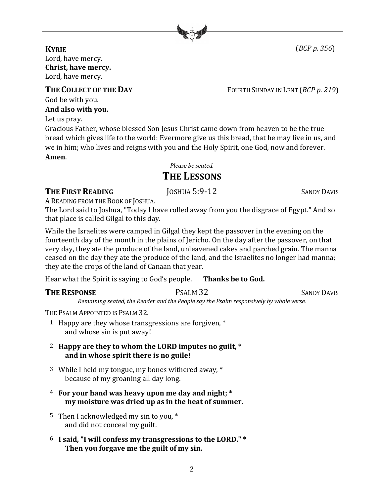2

**KYRIE** (*BCP p.* 356)

Lord, have mercy. **Christ, have mercy.** Lord, have mercy.

God be with you.

## **And also with you.**

Let us pray.

Gracious Father, whose blessed Son Jesus Christ came down from heaven to be the true bread which gives life to the world: Evermore give us this bread, that he may live in us, and we in him; who lives and reigns with you and the Holy Spirit, one God, now and forever. **Amen**.

*Please be seated.*

## **THE LESSONS**

## **THE FIRST READING** JOSHUA 5:9-12 SANDY DAVIS

A READING FROM THE BOOK OF JOSHUA.

The Lord said to Joshua, "Today I have rolled away from you the disgrace of Egypt." And so that place is called Gilgal to this day.

While the Israelites were camped in Gilgal they kept the passover in the evening on the fourteenth day of the month in the plains of Jericho. On the day after the passover, on that very day, they ate the produce of the land, unleavened cakes and parched grain. The manna ceased on the day they ate the produce of the land, and the Israelites no longer had manna; they ate the crops of the land of Canaan that year.

Hear what the Spirit is saying to God's people. **Thanks be to God.** 

## **THE RESPONSE** PSALM 32 SANDY DAVIS

Remaining seated, the Reader and the People say the Psalm responsively by whole verse.

THE PSALM APPOINTED IS PSALM 32.

- 1 Happy are they whose transgressions are forgiven,  $*$ and whose sin is put away!
- <sup>2</sup> Happy are they to whom the LORD imputes no guilt,  $*$ and in whose spirit there is no guile!
- 3 While I held my tongue, my bones withered away,  $*$ because of my groaning all day long.
- <sup>4</sup> For your hand was heavy upon me day and night; \* my moisture was dried up as in the heat of summer.
- 5 Then I acknowledged my sin to you,  $*$ and did not conceal my guilt.
- <sup>6</sup> I said, "I will confess my transgressions to the LORD." \* Then you forgave me the guilt of my sin.

**THE COLLECT OF THE DAY** FOURTH SUNDAY IN LENT (*BCP* p. 219)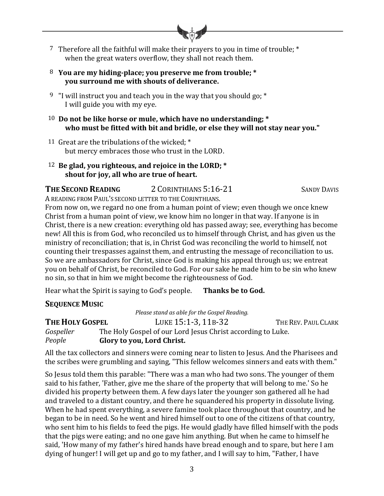- 7 Therefore all the faithful will make their prayers to you in time of trouble;  $*$ when the great waters overflow, they shall not reach them.
- 8 You are my hiding-place; you preserve me from trouble; \* **you surround me with shouts of deliverance.**
- 9 "I will instruct you and teach you in the way that you should go;  $*$ I will guide you with my eye.
- <sup>10</sup> Do not be like horse or mule, which have no understanding; \* who must be fitted with bit and bridle, or else they will not stay near you."
- 11 Great are the tribulations of the wicked:  $*$ but mercy embraces those who trust in the LORD.
- 12 Be glad, you righteous, and rejoice in the LORD; \* **shout for joy, all who are true of heart.**

### **THE SECOND READING** 2 CORINTHIANS 5:16-21 SANDY DAVIS A READING FROM PAUL'S SECOND LETTER TO THE CORINTHIANS.

From now on, we regard no one from a human point of view; even though we once knew Christ from a human point of view, we know him no longer in that way. If anyone is in Christ, there is a new creation: everything old has passed away; see, everything has become new! All this is from God, who reconciled us to himself through Christ, and has given us the ministry of reconciliation; that is, in Christ God was reconciling the world to himself, not counting their trespasses against them, and entrusting the message of reconciliation to us. So we are ambassadors for Christ, since God is making his appeal through us; we entreat you on behalf of Christ, be reconciled to God. For our sake he made him to be sin who knew no sin, so that in him we might become the righteousness of God.

Hear what the Spirit is saying to God's people. **Thanks be to God.** 

## **SEQUENCE MUSIC**

| Please stand as able for the Gospel Reading. |  |                                                             |                     |  |  |  |  |  |
|----------------------------------------------|--|-------------------------------------------------------------|---------------------|--|--|--|--|--|
| THE HOLY GOSPEL                              |  | LUKE 15:1-3, 11B-32                                         | THE REV. PAUL CLARK |  |  |  |  |  |
| Gospeller                                    |  | The Holy Gospel of our Lord Jesus Christ according to Luke. |                     |  |  |  |  |  |
| People                                       |  | Glory to you, Lord Christ.                                  |                     |  |  |  |  |  |

All the tax collectors and sinners were coming near to listen to Jesus. And the Pharisees and the scribes were grumbling and saying, "This fellow welcomes sinners and eats with them."

So Jesus told them this parable: "There was a man who had two sons. The younger of them said to his father, 'Father, give me the share of the property that will belong to me.' So he divided his property between them. A few days later the younger son gathered all he had and traveled to a distant country, and there he squandered his property in dissolute living. When he had spent everything, a severe famine took place throughout that country, and he began to be in need. So he went and hired himself out to one of the citizens of that country, who sent him to his fields to feed the pigs. He would gladly have filled himself with the pods that the pigs were eating; and no one gave him anything. But when he came to himself he said, 'How many of my father's hired hands have bread enough and to spare, but here I am dying of hunger! I will get up and go to my father, and I will say to him, "Father, I have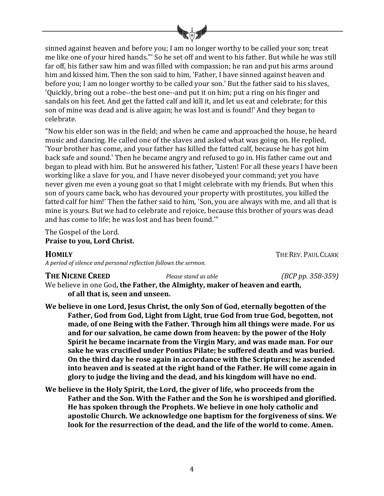

sinned against heaven and before you; I am no longer worthy to be called your son; treat me like one of your hired hands."' So he set off and went to his father. But while he was still far off, his father saw him and was filled with compassion; he ran and put his arms around him and kissed him. Then the son said to him, 'Father, I have sinned against heaven and before you; I am no longer worthy to be called your son.' But the father said to his slaves, 'Quickly, bring out a robe--the best one--and put it on him; put a ring on his finger and sandals on his feet. And get the fatted calf and kill it, and let us eat and celebrate; for this son of mine was dead and is alive again; he was lost and is found!' And they began to celebrate.

"Now his elder son was in the field; and when he came and approached the house, he heard music and dancing. He called one of the slaves and asked what was going on. He replied, 'Your brother has come, and your father has killed the fatted calf, because he has got him back safe and sound.' Then he became angry and refused to go in. His father came out and began to plead with him. But he answered his father, 'Listen! For all these years I have been working like a slave for you, and I have never disobeyed your command; yet you have never given me even a young goat so that I might celebrate with my friends. But when this son of yours came back, who has devoured your property with prostitutes, you killed the fatted calf for him!' Then the father said to him, 'Son, you are always with me, and all that is mine is yours. But we had to celebrate and rejoice, because this brother of yours was dead and has come to life; he was lost and has been found."

The Gospel of the Lord. **Praise to you, Lord Christ.** 

*A period of silence and personal reflection follows the sermon.*

**HOMILY** THE REV. PAUL CLARK

### **THE NICENE CREED** *Please stand as able (BCP pp. 358-359)* We believe in one God, the Father, the Almighty, maker of heaven and earth, of all that is, seen and unseen.

- We believe in one Lord, Jesus Christ, the only Son of God, eternally begotten of the Father, God from God, Light from Light, true God from true God, begotten, not made, of one Being with the Father. Through him all things were made. For us and for our salvation, he came down from heaven: by the power of the Holy Spirit he became incarnate from the Virgin Mary, and was made man. For our sake he was crucified under Pontius Pilate; he suffered death and was buried. On the third day he rose again in accordance with the Scriptures; he ascended **into heaven and is seated at the right hand of the Father. He will come again in** glory to judge the living and the dead, and his kingdom will have no end.
- We believe in the Holy Spirit, the Lord, the giver of life, who proceeds from the Father and the Son. With the Father and the Son he is worshiped and glorified. He has spoken through the Prophets. We believe in one holy catholic and apostolic Church. We acknowledge one baptism for the forgiveness of sins. We look for the resurrection of the dead, and the life of the world to come. Amen.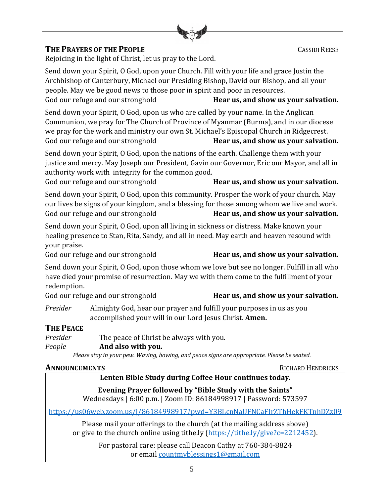## **THE PRAYERS OF THE PEOPLE CASSIDI CASSIDI CASSIDI CASSIDI CASSIDI**

Rejoicing in the light of Christ, let us pray to the Lord.

Send down your Spirit, O God, upon your Church. Fill with your life and grace Justin the Archbishop of Canterbury, Michael our Presiding Bishop, David our Bishop, and all your people. May we be good news to those poor in spirit and poor in resources.

God our refuge and our stronghold **Hear us, and show us your salvation.** 

Send down your Spirit, O God, upon us who are called by your name. In the Anglican Communion, we pray for The Church of Province of Myanmar (Burma), and in our diocese we pray for the work and ministry our own St. Michael's Episcopal Church in Ridgecrest. God our refuge and our stronghold **Hear us, and show us your salvation.** 

Send down your Spirit, O God, upon the nations of the earth. Challenge them with your justice and mercy. May Joseph our President, Gavin our Governor, Eric our Mayor, and all in authority work with integrity for the common good.

God our refuge and our stronghold **Hear us, and show us your salvation.** 

Send down your Spirit, O God, upon this community. Prosper the work of your church. May our lives be signs of your kingdom, and a blessing for those among whom we live and work. God our refuge and our stronghold **Hear us, and show us your salvation.** 

Send down your Spirit, O God, upon all living in sickness or distress. Make known your healing presence to Stan, Rita, Sandy, and all in need. May earth and heaven resound with your praise.

Send down your Spirit, O God, upon those whom we love but see no longer. Fulfill in all who have died your promise of resurrection. May we with them come to the fulfillment of your redemption.

God our refuge and our stronghold **Hear us, and show us your salvation.** 

*Presider* Almighty God, hear our prayer and fulfill your purposes in us as you accomplished your will in our Lord Jesus Christ. **Amen.** 

## **THE PEACE**

*Presider* The peace of Christ be always with you. *People* **And also with you.** 

Please stay in your pew. Waving, bowing, and peace signs are appropriate. Please be seated.

## **ANNOUNCEMENTS** RICHARD HENDRICKS

## Lenten Bible Study during Coffee Hour continues today.

**Evening Prayer followed by "Bible Study with the Saints"** Wednesdays | 6:00 p.m. | Zoom ID: 86184998917 | Password: 573597

https://us06web.zoom.us/j/86184998917?pwd=Y3BLcnNaUFNCaFIrZThHekFKTnhDZz09

Please mail your offerings to the church (at the mailing address above) or give to the church online using tithe.ly  $(https://tithe.ly/give?c=2212452)$ .

> For pastoral care: please call Deacon Cathy at 760-384-8824 or email **countmyblessings1@gmail.com**

## God our refuge and our stronghold **Hear us, and show us your salvation.**

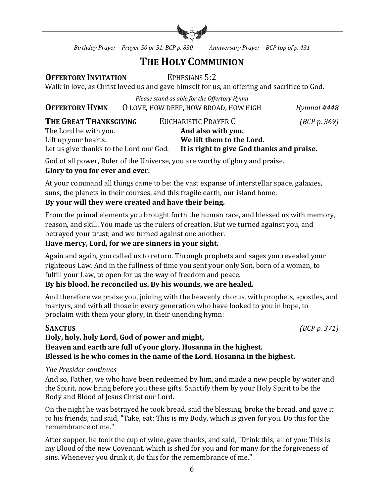

*Birthday Prayer – Prayer 50 or 51, BCP p. 830 Anniversary Prayer – BCP top of p. 431*

## **THE HOLY COMMUNION**

### **OFFERTORY INVITATION** EPHESIANS 5:2

Walk in love, as Christ loved us and gave himself for us, an offering and sacrifice to God.

|                        | Please stand as able for the Offertory Hymn |              |
|------------------------|---------------------------------------------|--------------|
| <b>OFFERTORY HYMN</b>  | O LOVE, HOW DEEP, HOW BROAD, HOW HIGH       | Hymnal #448  |
| THE GREAT THANKSGIVING | EUCHARISTIC PRAYER C                        | (BCP p. 369) |
| The Lord be with you.  | And also with you.                          |              |
| Lift up your hearts.   | We lift them to the Lord.                   |              |

Let us give thanks to the Lord our God. It is right to give God thanks and praise.

God of all power, Ruler of the Universe, you are worthy of glory and praise.

## **Glory to you for ever and ever.**

At your command all things came to be: the vast expanse of interstellar space, galaxies, suns, the planets in their courses, and this fragile earth, our island home.

## By your will they were created and have their being.

From the primal elements you brought forth the human race, and blessed us with memory, reason, and skill. You made us the rulers of creation. But we turned against you, and betrayed your trust; and we turned against one another.

## Have mercy, Lord, for we are sinners in your sight.

Again and again, you called us to return. Through prophets and sages you revealed your righteous Law. And in the fullness of time you sent your only Son, born of a woman, to fulfill your Law, to open for us the way of freedom and peace.

## By his blood, he reconciled us. By his wounds, we are healed.

And therefore we praise you, joining with the heavenly chorus, with prophets, apostles, and martyrs, and with all those in every generation who have looked to you in hope, to proclaim with them your glory, in their unending hymn:

**SANCTUS** *(BCP p. 371)* 

Holy, holy, holy Lord, God of power and might, Heaven and earth are full of your glory. Hosanna in the highest. **Blessed is he who comes in the name of the Lord. Hosanna in the highest.** 

## *The Presider continues*

And so, Father, we who have been redeemed by him, and made a new people by water and the Spirit, now bring before you these gifts. Sanctify them by your Holy Spirit to be the Body and Blood of Jesus Christ our Lord.

On the night he was betrayed he took bread, said the blessing, broke the bread, and gave it to his friends, and said, "Take, eat: This is my Body, which is given for you. Do this for the remembrance of me."

After supper, he took the cup of wine, gave thanks, and said, "Drink this, all of you: This is my Blood of the new Covenant, which is shed for you and for many for the forgiveness of sins. Whenever you drink it, do this for the remembrance of me."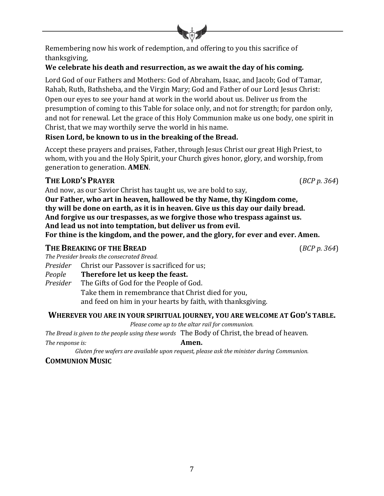Remembering now his work of redemption, and offering to you this sacrifice of thanksgiving,

## We celebrate his death and resurrection, as we await the day of his coming.

Lord God of our Fathers and Mothers: God of Abraham, Isaac, and Jacob; God of Tamar, Rahab, Ruth, Bathsheba, and the Virgin Mary; God and Father of our Lord Jesus Christ: Open our eyes to see your hand at work in the world about us. Deliver us from the presumption of coming to this Table for solace only, and not for strength; for pardon only, and not for renewal. Let the grace of this Holy Communion make us one body, one spirit in Christ, that we may worthily serve the world in his name.

## Risen Lord, be known to us in the breaking of the Bread.

Accept these prayers and praises, Father, through Jesus Christ our great High Priest, to whom, with you and the Holy Spirit, your Church gives honor, glory, and worship, from generation to generation. **AMEN**.

## **THE LORD'S PRAYER** (*BCP p.* 364)

And now, as our Savior Christ has taught us, we are bold to say,

Our Father, who art in heaven, hallowed be thy Name, thy Kingdom come, thy will be done on earth, as it is in heaven. Give us this day our daily bread. And forgive us our trespasses, as we forgive those who trespass against us. And lead us not into temptation, but deliver us from evil. For thine is the kingdom, and the power, and the glory, for ever and ever. Amen.

## **THE BREAKING OF THE BREAD** (*BCP p.* 364)

*The Presider breaks the consecrated Bread.* 

*Presider* Christ our Passover is sacrificed for us;

*People* **Therefore let us keep the feast.** 

*Presider* The Gifts of God for the People of God.

Take them in remembrance that Christ died for you, and feed on him in your hearts by faith, with thanksgiving.

## WHEREVER YOU ARE IN YOUR SPIRITUAL JOURNEY, YOU ARE WELCOME AT GOD'S TABLE.

*Please come up to the altar rail for communion.* 

The Bread is given to the people using these words The Body of Christ, the bread of heaven.

*The response is:* **Amen.** 

*Gluten free wafers are available upon request, please ask the minister during Communion.* 

## **COMMUNION MUSIC**